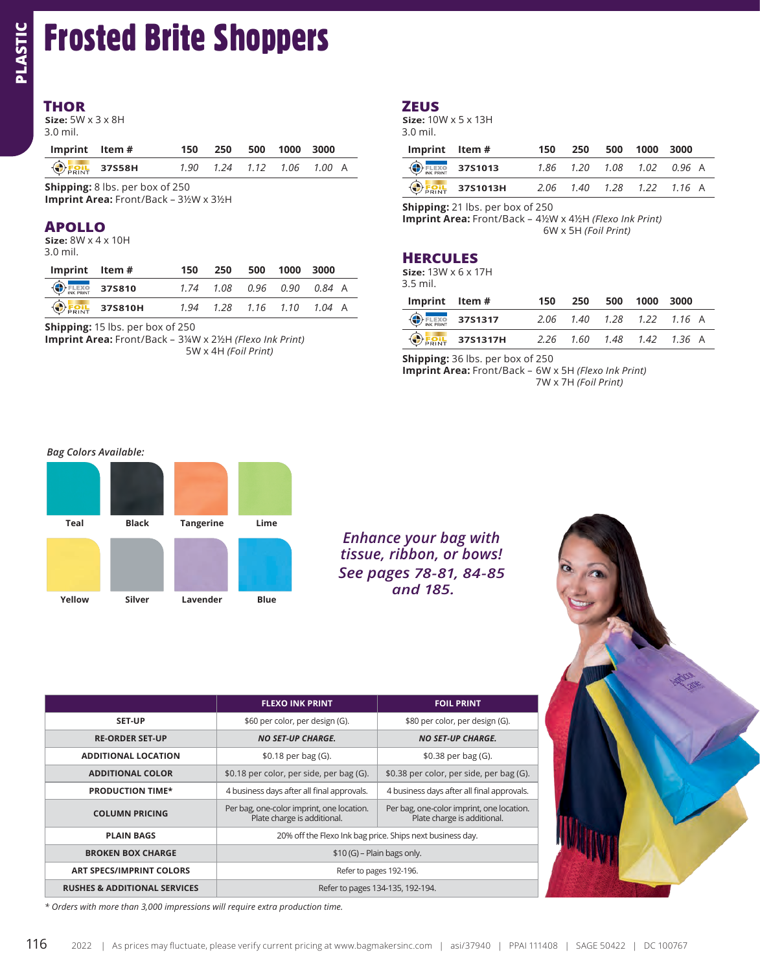## **THOR**

**PLASTIC** 

| Imprint Item# |                        | 150 250 500 1000 3000      |  |  |
|---------------|------------------------|----------------------------|--|--|
|               | $\bigcirc$ Foil 37S58H | 1.90 1.24 1.12 1.06 1.00 A |  |  |

## **APOLLO**

| Imprint Item#                         |                                    | 150 | 250 | 500 1000 3000 |                            |
|---------------------------------------|------------------------------------|-----|-----|---------------|----------------------------|
| $\bigoplus_{\text{NKE PRINT}}$ 375810 |                                    |     |     |               | 1.74 1.08 0.96 0.90 0.84 A |
|                                       | $\bigoplus_{\text{PRINT}}$ 375810H |     |     |               | 1.94 1.28 1.16 1.10 1.04 A |

## **ZEUS**

| Imprint Item# |                                                              | 150 | 250 | 500 1000 3000 |                                 |
|---------------|--------------------------------------------------------------|-----|-----|---------------|---------------------------------|
|               | $\bigoplus_{\text{NE PRINT}}$ 3751013                        |     |     |               | 1.86  1.20  1.08  1.02  0.96  A |
|               | $\bigoplus_{F \in \mathsf{INT}} F \subset \mathsf{3751013H}$ |     |     |               | 2.06 1.40 1.28 1.22 1.16 A      |

**Shipping:** 21 lbs. per box of 250

**Imprint Area:** Front/Back – 4½W x 4½H *(Flexo Ink Print)* 6W x 5H *(Foil Print)*

| 37S810H                                                    |  |  | 1.94 1.28 1.16 1.10 1.04 A | $Imprint$ Item $#$ |                                        | 150 | 250 | 500 | 1000 | 3000                       |
|------------------------------------------------------------|--|--|----------------------------|--------------------|----------------------------------------|-----|-----|-----|------|----------------------------|
| 5 lbs. per box of 250                                      |  |  |                            |                    | $\bigoplus_{\text{INK PRINT}}$ 37S1317 |     |     |     |      | 2.06 1.40 1.28 1.22 1.16 A |
| <b>ea:</b> Front/Back – 3¼W x 2½H <i>(Flexo Ink Print)</i> |  |  |                            |                    | $\bigcirc$ <sub>Foil</sub> 37S1317H    |     |     |     |      | 2.26 1.60 1.48 1.42 1.36 A |

**Shipping:** 36 lbs. per box of 250

**Imprint Area:** Front/Back – 6W x 5H *(Flexo Ink Print)* 7W x 7H *(Foil Print)*

### *Bag Colors Available:*



| <b>THOR</b><br>Size: $5W \times 3 \times 8H$<br>3.0 mil.                                |                              |                      |              |                                                                          |               | <b>ZEUS</b><br>3.0 mil.                                                                        | Size: $10W \times 5 \times 13H$                            |
|-----------------------------------------------------------------------------------------|------------------------------|----------------------|--------------|--------------------------------------------------------------------------|---------------|------------------------------------------------------------------------------------------------|------------------------------------------------------------|
| Imprint<br>Item #                                                                       | 150                          | 250                  | 500          | 1000                                                                     | 3000          | Imprint                                                                                        | Item #                                                     |
| <b>OFOIL</b><br>37S58H                                                                  | 1.90                         | 1.24                 | 1.12         | 1.06                                                                     | $1.00\quad A$ | <b>FLEXO</b><br>INK PRINT                                                                      | 37S1013                                                    |
| <b>Shipping:</b> 8 lbs. per box of 250                                                  |                              |                      |              |                                                                          |               | <b>EQUI</b>                                                                                    | 37S1013H                                                   |
| Imprint Area: Front/Back - 3½W x 3½H<br><b>APOLLO</b><br>Size: $8W \times 4 \times 10H$ |                              |                      |              |                                                                          |               |                                                                                                | Shipping: 21 lbs. per box of<br>Imprint Area: Front/Back - |
| 3.0 mil.                                                                                |                              |                      |              |                                                                          |               | <b>HERCULES</b>                                                                                |                                                            |
| <b>Imprint</b><br>Item #                                                                | 150                          | 250                  | 500          | 1000                                                                     | 3000          |                                                                                                | Size: $13W \times 6 \times 17H$                            |
| <b>FLEXO</b><br>INK PRINT<br>37S810                                                     | 1.74                         | 1.08                 | 0.96         | 0.90                                                                     | 0.84 A        | 3.5 mil.                                                                                       |                                                            |
| 37S810H<br><b>FOIL</b>                                                                  | 1.94                         | 1.28                 | 1.16         | 1.10                                                                     | 1.04 A        | Imprint                                                                                        | Item#                                                      |
| Shipping: 15 lbs. per box of 250                                                        |                              |                      |              |                                                                          |               | <b>ELEXO</b>                                                                                   | 37S1317                                                    |
| Imprint Area: Front/Back - 3¼W x 2½H (Flexo Ink Print)                                  |                              | 5W x 4H (Foil Print) |              |                                                                          |               | <b>ERINT</b>                                                                                   | 37S1317H<br>Shipping: 36 lbs. per box of                   |
|                                                                                         |                              |                      |              |                                                                          |               |                                                                                                |                                                            |
| <b>Bag Colors Available:</b><br>Teal<br><b>Black</b><br>Yellow<br>Silver                | <b>Tangerine</b><br>Lavender |                      | Lime<br>Blue |                                                                          |               | <b>Enhance your bag with</b><br>tissue, ribbon, or bows!<br>See pages 78-81, 84-85<br>and 185. |                                                            |
|                                                                                         |                              |                      |              | <b>FLEXO INK PRINT</b>                                                   |               |                                                                                                | <b>FOIL PRINT</b>                                          |
| <b>SET-UP</b>                                                                           |                              |                      |              | \$60 per color, per design (G).                                          |               |                                                                                                | \$80 per color, per design (G).                            |
| <b>RE-ORDER SET-UP</b>                                                                  |                              |                      |              | <b>NO SET-UP CHARGE.</b>                                                 |               |                                                                                                | <b>NO SET-UP CHARGE.</b>                                   |
| <b>ADDITIONAL LOCATION</b>                                                              |                              |                      |              | \$0.18 per bag (G).                                                      |               |                                                                                                | \$0.38 per bag (G).                                        |
| <b>ADDITIONAL COLOR</b>                                                                 |                              |                      |              | \$0.18 per color, per side, per bag (G).                                 |               | \$0.38 per color, per side, per bag (G).                                                       |                                                            |
| <b>PRODUCTION TIME*</b>                                                                 |                              |                      |              | 4 business days after all final approvals.                               |               | 4 business days after all final approvals.                                                     |                                                            |
| <b>COLUMN PRICING</b>                                                                   |                              |                      |              | Per bag, one-color imprint, one location.<br>Plate charge is additional. |               | Per bag, one-color imprint, one location.                                                      | Plate charge is additional.                                |
| <b>PLAIN BAGS</b>                                                                       |                              |                      |              |                                                                          |               | 20% off the Flexo Ink bag price. Ships next business day.                                      |                                                            |
| <b>BROKEN BOX CHARGE</b>                                                                |                              |                      |              |                                                                          |               | $$10(G)$ – Plain bags only.                                                                    |                                                            |
| <b>ART SPECS/IMPRINT COLORS</b>                                                         |                              |                      |              |                                                                          |               | Refer to pages 192-196.                                                                        |                                                            |